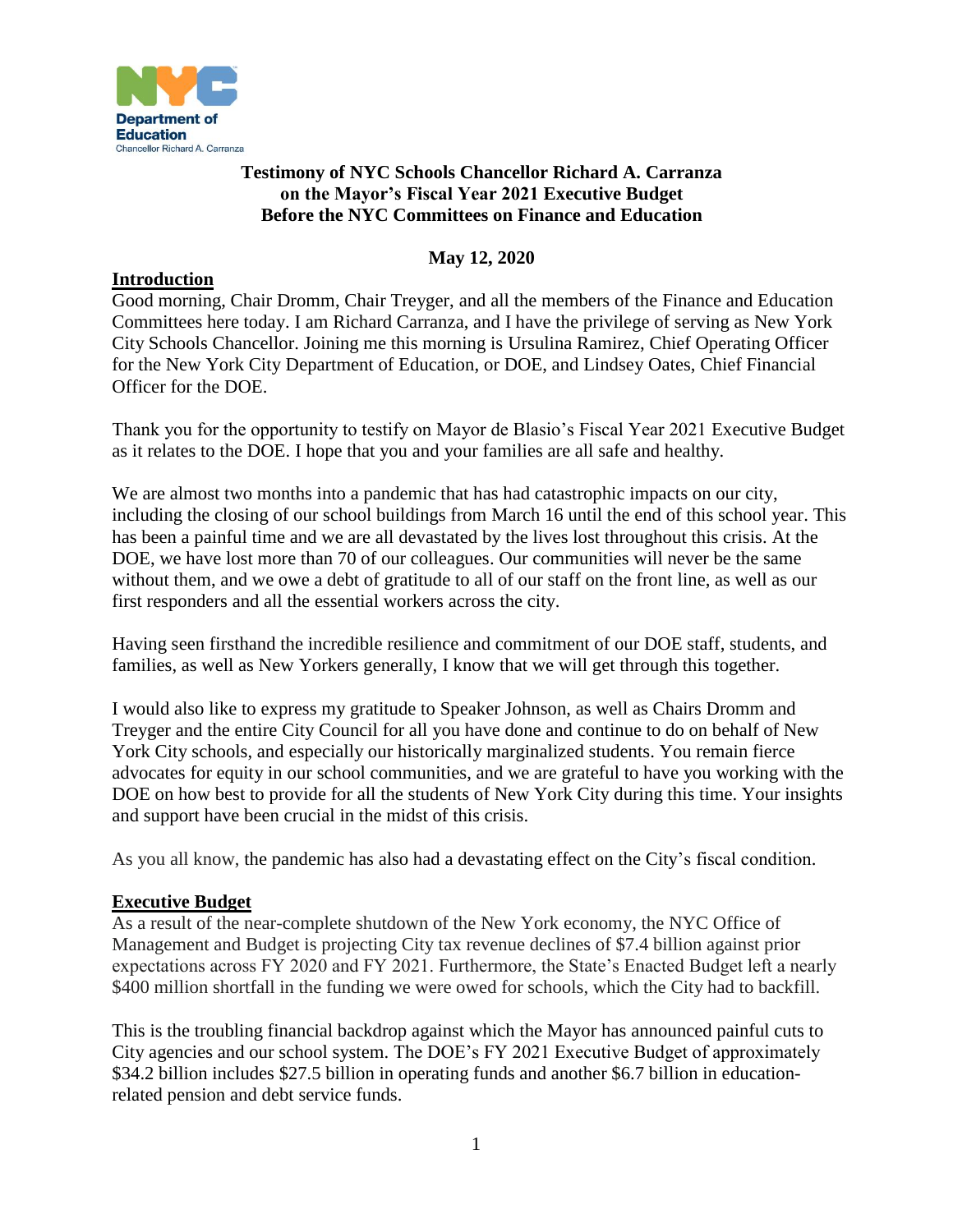

# **Testimony of NYC Schools Chancellor Richard A. Carranza on the Mayor's Fiscal Year 2021 Executive Budget Before the NYC Committees on Finance and Education**

## **May 12, 2020**

### **Introduction**

Good morning, Chair Dromm, Chair Treyger, and all the members of the Finance and Education Committees here today. I am Richard Carranza, and I have the privilege of serving as New York City Schools Chancellor. Joining me this morning is Ursulina Ramirez, Chief Operating Officer for the New York City Department of Education, or DOE, and Lindsey Oates, Chief Financial Officer for the DOE.

Thank you for the opportunity to testify on Mayor de Blasio's Fiscal Year 2021 Executive Budget as it relates to the DOE. I hope that you and your families are all safe and healthy.

We are almost two months into a pandemic that has had catastrophic impacts on our city, including the closing of our school buildings from March 16 until the end of this school year. This has been a painful time and we are all devastated by the lives lost throughout this crisis. At the DOE, we have lost more than 70 of our colleagues. Our communities will never be the same without them, and we owe a debt of gratitude to all of our staff on the front line, as well as our first responders and all the essential workers across the city.

Having seen firsthand the incredible resilience and commitment of our DOE staff, students, and families, as well as New Yorkers generally, I know that we will get through this together.

I would also like to express my gratitude to Speaker Johnson, as well as Chairs Dromm and Treyger and the entire City Council for all you have done and continue to do on behalf of New York City schools, and especially our historically marginalized students. You remain fierce advocates for equity in our school communities, and we are grateful to have you working with the DOE on how best to provide for all the students of New York City during this time. Your insights and support have been crucial in the midst of this crisis.

As you all know, the pandemic has also had a devastating effect on the City's fiscal condition.

### **Executive Budget**

As a result of the near-complete shutdown of the New York economy, the NYC Office of Management and Budget is projecting City tax revenue declines of \$7.4 billion against prior expectations across FY 2020 and FY 2021. Furthermore, the State's Enacted Budget left a nearly \$400 million shortfall in the funding we were owed for schools, which the City had to backfill.

This is the troubling financial backdrop against which the Mayor has announced painful cuts to City agencies and our school system. The DOE's FY 2021 Executive Budget of approximately \$34.2 billion includes \$27.5 billion in operating funds and another \$6.7 billion in educationrelated pension and debt service funds.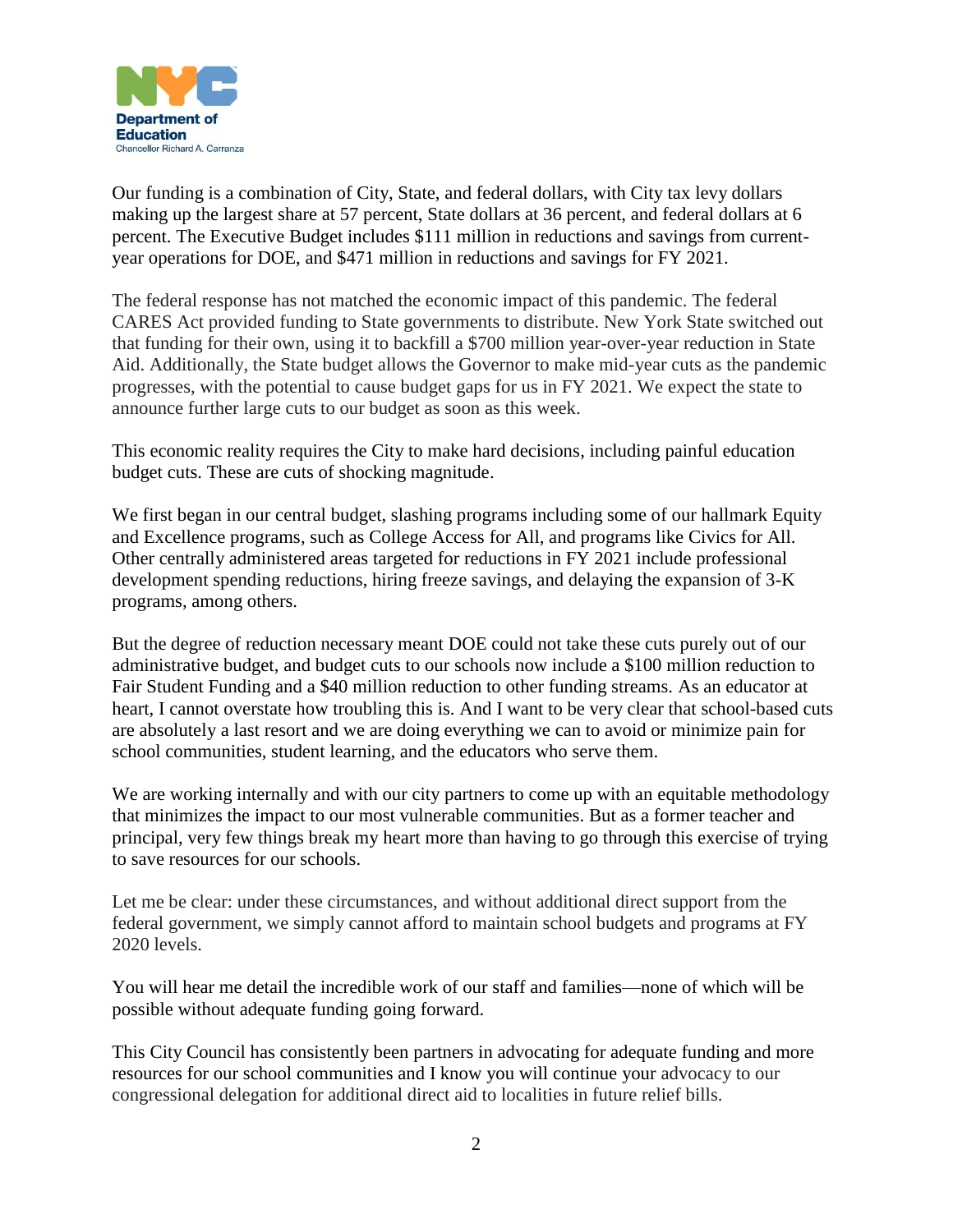

Our funding is a combination of City, State, and federal dollars, with City tax levy dollars making up the largest share at 57 percent, State dollars at 36 percent, and federal dollars at 6 percent. The Executive Budget includes \$111 million in reductions and savings from currentyear operations for DOE, and \$471 million in reductions and savings for FY 2021.

The federal response has not matched the economic impact of this pandemic. The federal CARES Act provided funding to State governments to distribute. New York State switched out that funding for their own, using it to backfill a \$700 million year-over-year reduction in State Aid. Additionally, the State budget allows the Governor to make mid-year cuts as the pandemic progresses, with the potential to cause budget gaps for us in FY 2021. We expect the state to announce further large cuts to our budget as soon as this week.

This economic reality requires the City to make hard decisions, including painful education budget cuts. These are cuts of shocking magnitude.

We first began in our central budget, slashing programs including some of our hallmark Equity and Excellence programs, such as College Access for All, and programs like Civics for All. Other centrally administered areas targeted for reductions in FY 2021 include professional development spending reductions, hiring freeze savings, and delaying the expansion of 3-K programs, among others.

But the degree of reduction necessary meant DOE could not take these cuts purely out of our administrative budget, and budget cuts to our schools now include a \$100 million reduction to Fair Student Funding and a \$40 million reduction to other funding streams. As an educator at heart, I cannot overstate how troubling this is. And I want to be very clear that school-based cuts are absolutely a last resort and we are doing everything we can to avoid or minimize pain for school communities, student learning, and the educators who serve them.

We are working internally and with our city partners to come up with an equitable methodology that minimizes the impact to our most vulnerable communities. But as a former teacher and principal, very few things break my heart more than having to go through this exercise of trying to save resources for our schools.

Let me be clear: under these circumstances, and without additional direct support from the federal government, we simply cannot afford to maintain school budgets and programs at FY 2020 levels.

You will hear me detail the incredible work of our staff and families—none of which will be possible without adequate funding going forward.

This City Council has consistently been partners in advocating for adequate funding and more resources for our school communities and I know you will continue your advocacy to our congressional delegation for additional direct aid to localities in future relief bills.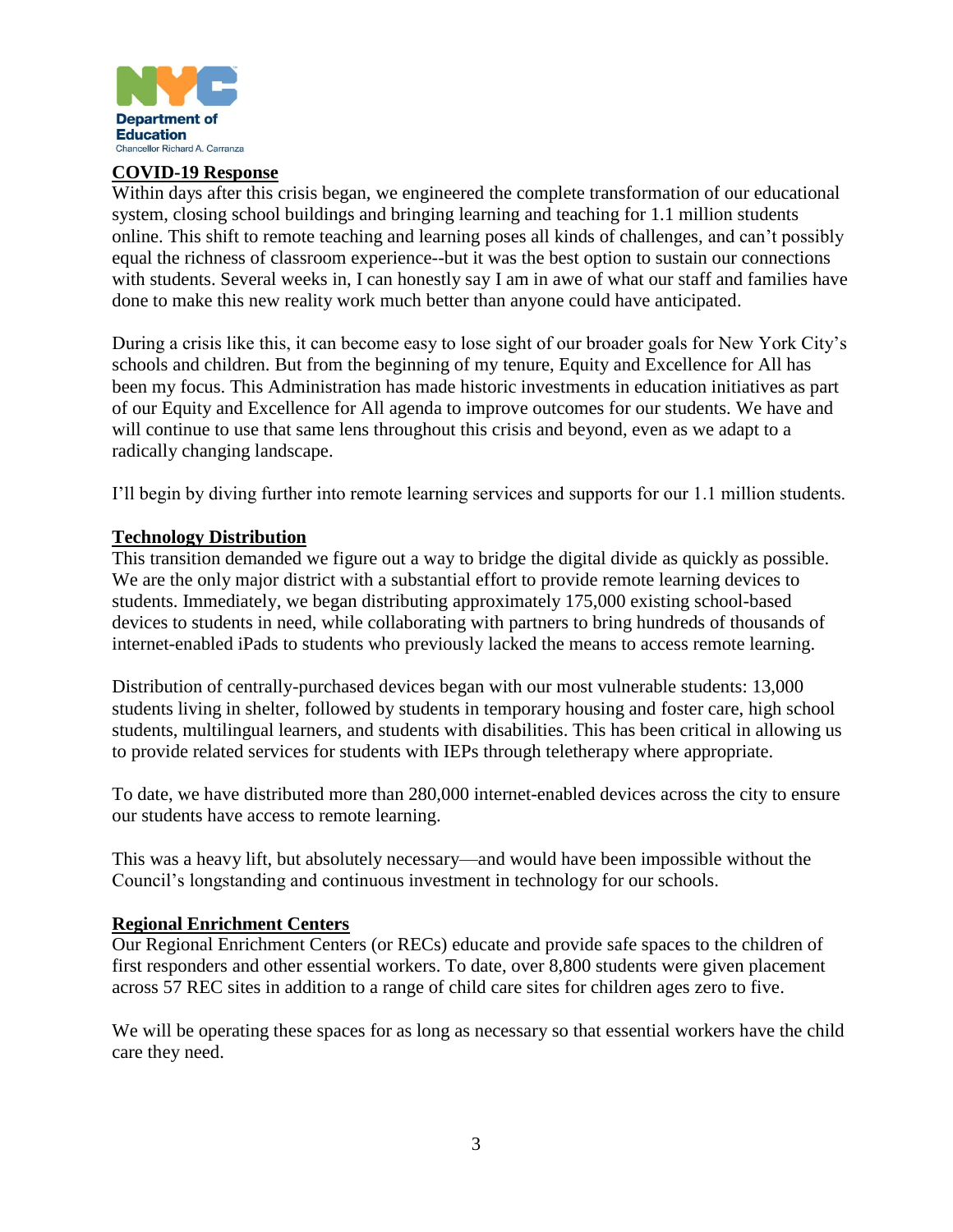

#### **COVID-19 Response**

Within days after this crisis began, we engineered the complete transformation of our educational system, closing school buildings and bringing learning and teaching for 1.1 million students online. This shift to remote teaching and learning poses all kinds of challenges, and can't possibly equal the richness of classroom experience--but it was the best option to sustain our connections with students. Several weeks in, I can honestly say I am in awe of what our staff and families have done to make this new reality work much better than anyone could have anticipated.

During a crisis like this, it can become easy to lose sight of our broader goals for New York City's schools and children. But from the beginning of my tenure, Equity and Excellence for All has been my focus. This Administration has made historic investments in education initiatives as part of our Equity and Excellence for All agenda to improve outcomes for our students. We have and will continue to use that same lens throughout this crisis and beyond, even as we adapt to a radically changing landscape.

I'll begin by diving further into remote learning services and supports for our 1.1 million students.

#### **Technology Distribution**

This transition demanded we figure out a way to bridge the digital divide as quickly as possible. We are the only major district with a substantial effort to provide remote learning devices to students. Immediately, we began distributing approximately 175,000 existing school-based devices to students in need, while collaborating with partners to bring hundreds of thousands of internet-enabled iPads to students who previously lacked the means to access remote learning.

Distribution of centrally-purchased devices began with our most vulnerable students: 13,000 students living in shelter, followed by students in temporary housing and foster care, high school students, multilingual learners, and students with disabilities. This has been critical in allowing us to provide related services for students with IEPs through teletherapy where appropriate.

To date, we have distributed more than 280,000 internet-enabled devices across the city to ensure our students have access to remote learning.

This was a heavy lift, but absolutely necessary—and would have been impossible without the Council's longstanding and continuous investment in technology for our schools.

### **Regional Enrichment Centers**

Our Regional Enrichment Centers (or RECs) educate and provide safe spaces to the children of first responders and other essential workers. To date, over 8,800 students were given placement across 57 REC sites in addition to a range of child care sites for children ages zero to five.

We will be operating these spaces for as long as necessary so that essential workers have the child care they need.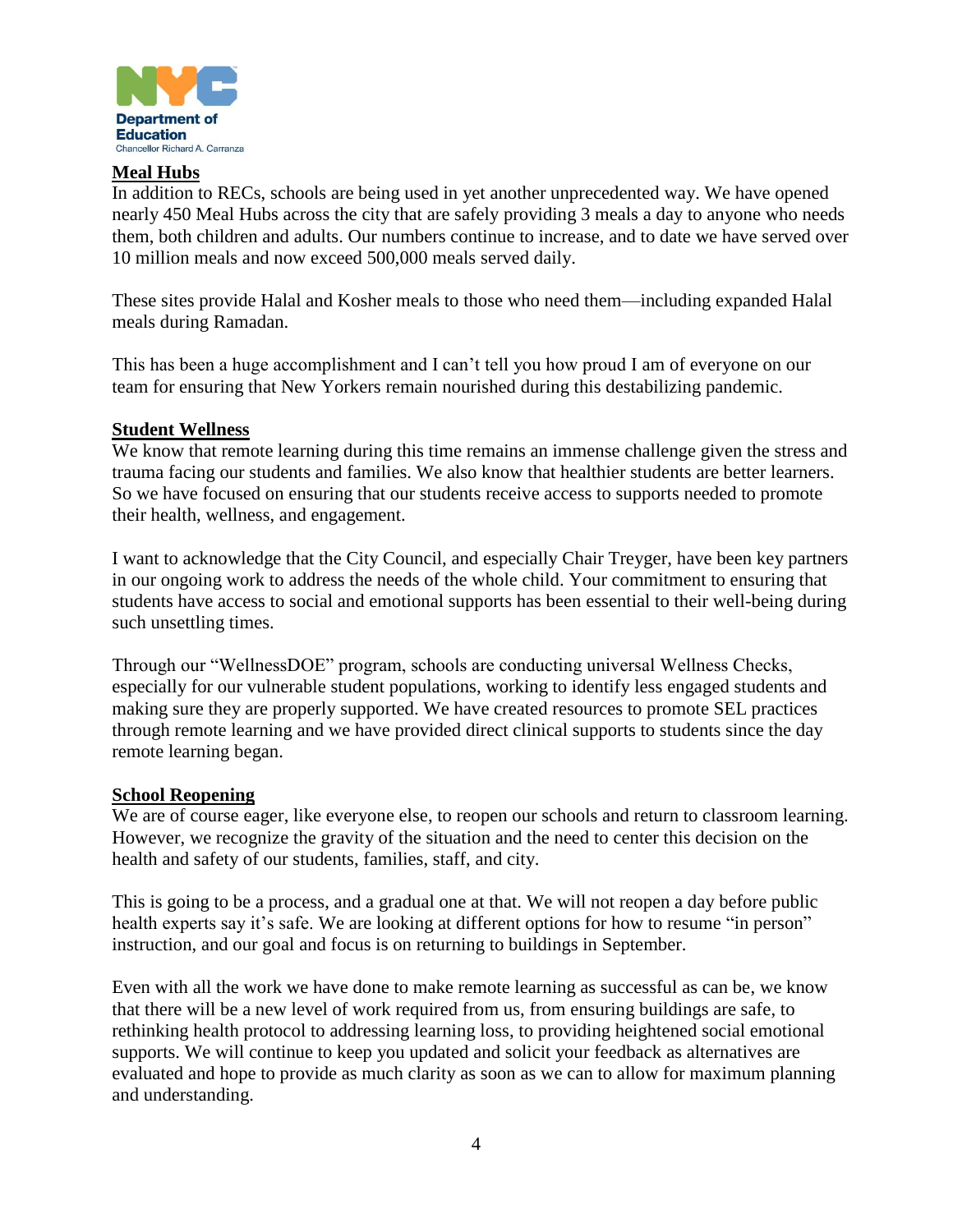

### **Meal Hubs**

In addition to RECs, schools are being used in yet another unprecedented way. We have opened nearly 450 Meal Hubs across the city that are safely providing 3 meals a day to anyone who needs them, both children and adults. Our numbers continue to increase, and to date we have served over 10 million meals and now exceed 500,000 meals served daily.

These sites provide Halal and Kosher meals to those who need them—including expanded Halal meals during Ramadan.

This has been a huge accomplishment and I can't tell you how proud I am of everyone on our team for ensuring that New Yorkers remain nourished during this destabilizing pandemic.

### **Student Wellness**

We know that remote learning during this time remains an immense challenge given the stress and trauma facing our students and families. We also know that healthier students are better learners. So we have focused on ensuring that our students receive access to supports needed to promote their health, wellness, and engagement.

I want to acknowledge that the City Council, and especially Chair Treyger, have been key partners in our ongoing work to address the needs of the whole child. Your commitment to ensuring that students have access to social and emotional supports has been essential to their well-being during such unsettling times.

Through our "WellnessDOE" program, schools are conducting universal Wellness Checks, especially for our vulnerable student populations, working to identify less engaged students and making sure they are properly supported. We have created resources to promote SEL practices through remote learning and we have provided direct clinical supports to students since the day remote learning began.

### **School Reopening**

We are of course eager, like everyone else, to reopen our schools and return to classroom learning. However, we recognize the gravity of the situation and the need to center this decision on the health and safety of our students, families, staff, and city.

This is going to be a process, and a gradual one at that. We will not reopen a day before public health experts say it's safe. We are looking at different options for how to resume "in person" instruction, and our goal and focus is on returning to buildings in September.

Even with all the work we have done to make remote learning as successful as can be, we know that there will be a new level of work required from us, from ensuring buildings are safe, to rethinking health protocol to addressing learning loss, to providing heightened social emotional supports. We will continue to keep you updated and solicit your feedback as alternatives are evaluated and hope to provide as much clarity as soon as we can to allow for maximum planning and understanding.